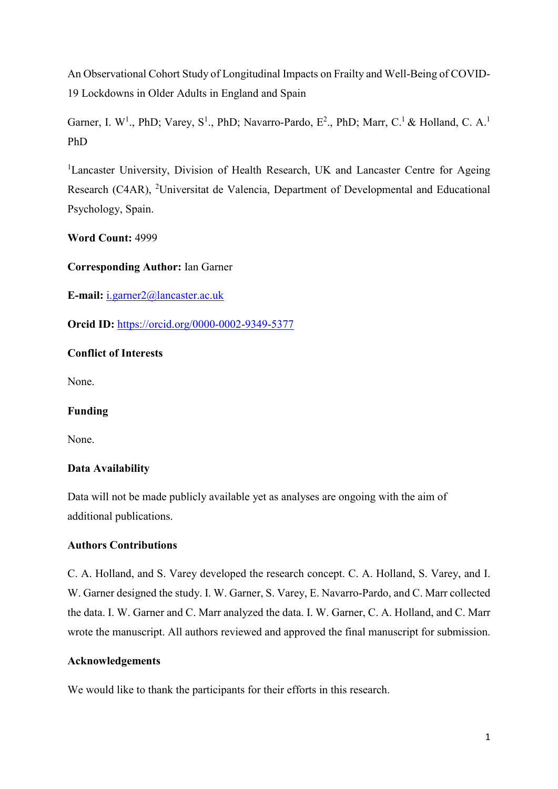An Observational Cohort Study of Longitudinal Impacts on Frailty and Well-Being of COVID-19 Lockdowns in Older Adults in England and Spain

Garner, I. W<sup>1</sup>., PhD; Varey, S<sup>1</sup>., PhD; Navarro-Pardo, E<sup>2</sup>., PhD; Marr, C.<sup>1</sup> & Holland, C. A.<sup>1</sup> PhD

<sup>1</sup>Lancaster University, Division of Health Research, UK and Lancaster Centre for Ageing Research (C4AR), <sup>2</sup>Universitat de Valencia, Department of Developmental and Educational Psychology, Spain.

**Word Count:** 4999

**Corresponding Author:** Ian Garner

**E-mail:** [i.garner2@lancaster.ac.uk](mailto:i.garner2@lancaster.ac.uk)

**Orcid ID:** <https://orcid.org/0000-0002-9349-5377>

# **Conflict of Interests**

None.

# **Funding**

None.

# **Data Availability**

Data will not be made publicly available yet as analyses are ongoing with the aim of additional publications.

# **Authors Contributions**

C. A. Holland, and S. Varey developed the research concept. C. A. Holland, S. Varey, and I. W. Garner designed the study. I. W. Garner, S. Varey, E. Navarro-Pardo, and C. Marr collected the data. I. W. Garner and C. Marr analyzed the data. I. W. Garner, C. A. Holland, and C. Marr wrote the manuscript. All authors reviewed and approved the final manuscript for submission.

# **Acknowledgements**

We would like to thank the participants for their efforts in this research.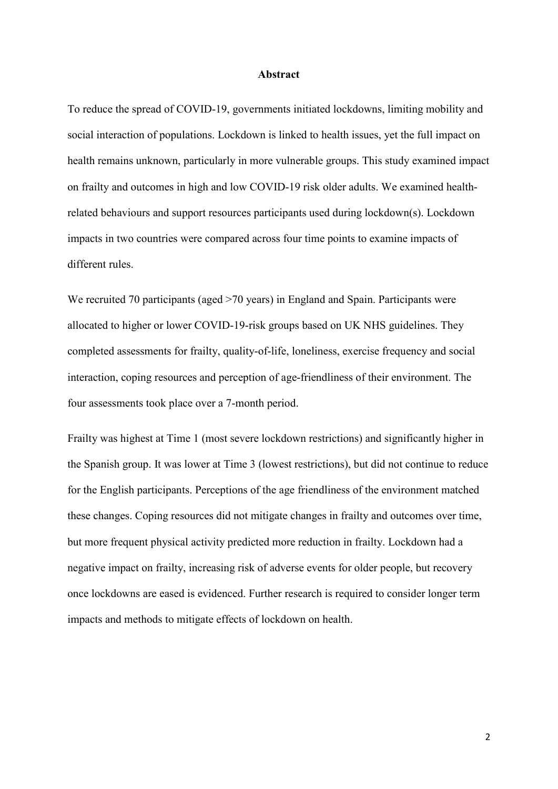#### **Abstract**

To reduce the spread of COVID-19, governments initiated lockdowns, limiting mobility and social interaction of populations. Lockdown is linked to health issues, yet the full impact on health remains unknown, particularly in more vulnerable groups. This study examined impact on frailty and outcomes in high and low COVID-19 risk older adults. We examined healthrelated behaviours and support resources participants used during lockdown(s). Lockdown impacts in two countries were compared across four time points to examine impacts of different rules.

We recruited 70 participants (aged >70 years) in England and Spain. Participants were allocated to higher or lower COVID-19-risk groups based on UK NHS guidelines. They completed assessments for frailty, quality-of-life, loneliness, exercise frequency and social interaction, coping resources and perception of age-friendliness of their environment. The four assessments took place over a 7-month period.

Frailty was highest at Time 1 (most severe lockdown restrictions) and significantly higher in the Spanish group. It was lower at Time 3 (lowest restrictions), but did not continue to reduce for the English participants. Perceptions of the age friendliness of the environment matched these changes. Coping resources did not mitigate changes in frailty and outcomes over time, but more frequent physical activity predicted more reduction in frailty. Lockdown had a negative impact on frailty, increasing risk of adverse events for older people, but recovery once lockdowns are eased is evidenced. Further research is required to consider longer term impacts and methods to mitigate effects of lockdown on health.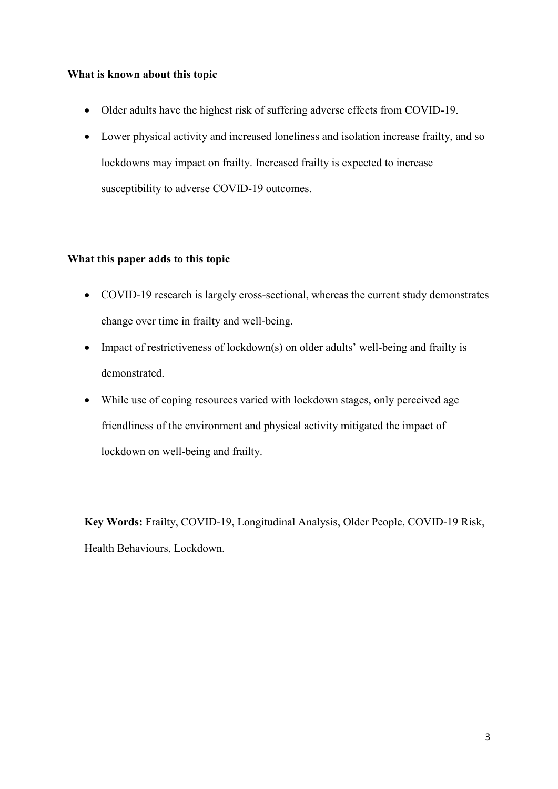# **What is known about this topic**

- Older adults have the highest risk of suffering adverse effects from COVID-19.
- Lower physical activity and increased loneliness and isolation increase frailty, and so lockdowns may impact on frailty. Increased frailty is expected to increase susceptibility to adverse COVID-19 outcomes.

# **What this paper adds to this topic**

- COVID-19 research is largely cross-sectional, whereas the current study demonstrates change over time in frailty and well-being.
- Impact of restrictiveness of lockdown(s) on older adults' well-being and frailty is demonstrated.
- While use of coping resources varied with lockdown stages, only perceived age friendliness of the environment and physical activity mitigated the impact of lockdown on well-being and frailty.

**Key Words:** Frailty, COVID-19, Longitudinal Analysis, Older People, COVID-19 Risk, Health Behaviours, Lockdown.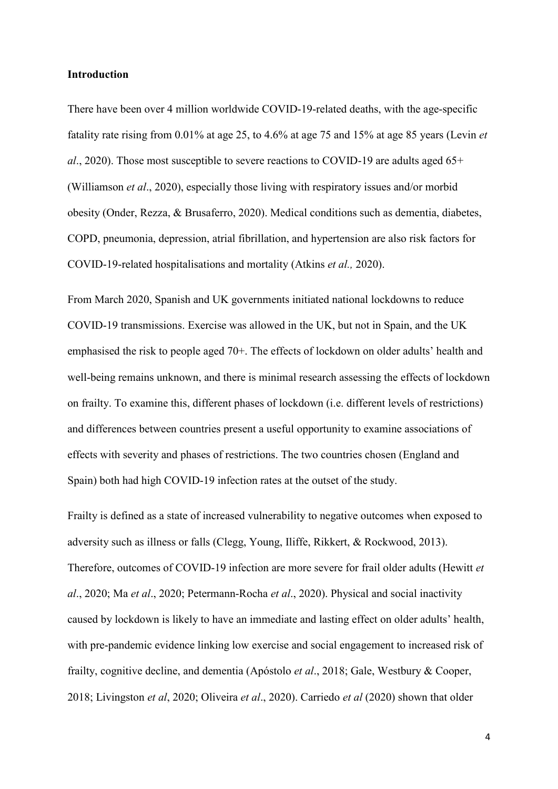#### **Introduction**

There have been over 4 million worldwide COVID-19-related deaths, with the age-specific fatality rate rising from 0.01% at age 25, to 4.6% at age 75 and 15% at age 85 years (Levin *et al*., 2020). Those most susceptible to severe reactions to COVID-19 are adults aged 65+ (Williamson *et al*., 2020), especially those living with respiratory issues and/or morbid obesity (Onder, Rezza, & Brusaferro, 2020). Medical conditions such as dementia, diabetes, COPD, pneumonia, depression, atrial fibrillation, and hypertension are also risk factors for COVID-19-related hospitalisations and mortality (Atkins *et al.,* 2020).

From March 2020, Spanish and UK governments initiated national lockdowns to reduce COVID-19 transmissions. Exercise was allowed in the UK, but not in Spain, and the UK emphasised the risk to people aged 70+. The effects of lockdown on older adults' health and well-being remains unknown, and there is minimal research assessing the effects of lockdown on frailty. To examine this, different phases of lockdown (i.e. different levels of restrictions) and differences between countries present a useful opportunity to examine associations of effects with severity and phases of restrictions. The two countries chosen (England and Spain) both had high COVID-19 infection rates at the outset of the study.

Frailty is defined as a state of increased vulnerability to negative outcomes when exposed to adversity such as illness or falls (Clegg, Young, Iliffe, Rikkert, & Rockwood, 2013). Therefore, outcomes of COVID-19 infection are more severe for frail older adults (Hewitt *et al*., 2020; Ma *et al*., 2020; Petermann-Rocha *et al*., 2020). Physical and social inactivity caused by lockdown is likely to have an immediate and lasting effect on older adults' health, with pre-pandemic evidence linking low exercise and social engagement to increased risk of frailty, cognitive decline, and dementia (Apóstolo *et al*., 2018; Gale, Westbury & Cooper, 2018; Livingston *et al*, 2020; Oliveira *et al*., 2020). Carriedo *et al* (2020) shown that older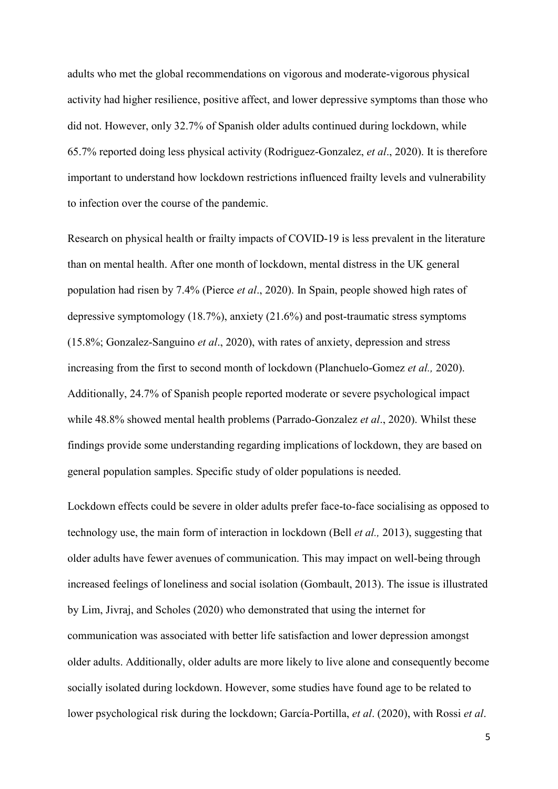adults who met the global recommendations on vigorous and moderate-vigorous physical activity had higher resilience, positive affect, and lower depressive symptoms than those who did not. However, only 32.7% of Spanish older adults continued during lockdown, while 65.7% reported doing less physical activity (Rodriguez-Gonzalez, *et al*., 2020). It is therefore important to understand how lockdown restrictions influenced frailty levels and vulnerability to infection over the course of the pandemic.

Research on physical health or frailty impacts of COVID-19 is less prevalent in the literature than on mental health. After one month of lockdown, mental distress in the UK general population had risen by 7.4% (Pierce *et al*., 2020). In Spain, people showed high rates of depressive symptomology (18.7%), anxiety (21.6%) and post-traumatic stress symptoms (15.8%; Gonzalez-Sanguino *et al*., 2020), with rates of anxiety, depression and stress increasing from the first to second month of lockdown (Planchuelo-Gomez *et al.,* 2020). Additionally, 24.7% of Spanish people reported moderate or severe psychological impact while 48.8% showed mental health problems (Parrado-Gonzalez *et al*., 2020). Whilst these findings provide some understanding regarding implications of lockdown, they are based on general population samples. Specific study of older populations is needed.

Lockdown effects could be severe in older adults prefer face-to-face socialising as opposed to technology use, the main form of interaction in lockdown (Bell *et al.,* 2013), suggesting that older adults have fewer avenues of communication. This may impact on well-being through increased feelings of loneliness and social isolation (Gombault, 2013). The issue is illustrated by Lim, Jivraj, and Scholes (2020) who demonstrated that using the internet for communication was associated with better life satisfaction and lower depression amongst older adults. Additionally, older adults are more likely to live alone and consequently become socially isolated during lockdown. However, some studies have found age to be related to lower psychological risk during the lockdown; García-Portilla, *et al*. (2020), with Rossi *et al*.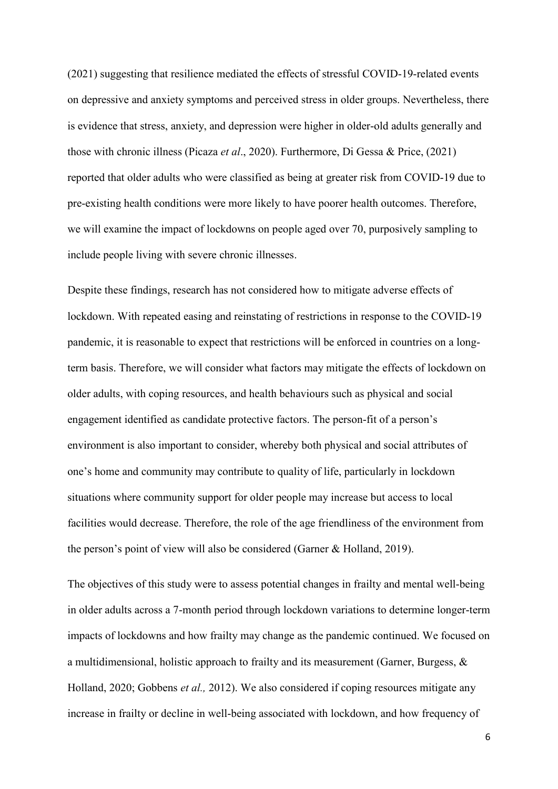(2021) suggesting that resilience mediated the effects of stressful COVID-19-related events on depressive and anxiety symptoms and perceived stress in older groups. Nevertheless, there is evidence that stress, anxiety, and depression were higher in older-old adults generally and those with chronic illness (Picaza *et al*., 2020). Furthermore, Di Gessa & Price, (2021) reported that older adults who were classified as being at greater risk from COVID-19 due to pre-existing health conditions were more likely to have poorer health outcomes. Therefore, we will examine the impact of lockdowns on people aged over 70, purposively sampling to include people living with severe chronic illnesses.

Despite these findings, research has not considered how to mitigate adverse effects of lockdown. With repeated easing and reinstating of restrictions in response to the COVID-19 pandemic, it is reasonable to expect that restrictions will be enforced in countries on a longterm basis. Therefore, we will consider what factors may mitigate the effects of lockdown on older adults, with coping resources, and health behaviours such as physical and social engagement identified as candidate protective factors. The person-fit of a person's environment is also important to consider, whereby both physical and social attributes of one's home and community may contribute to quality of life, particularly in lockdown situations where community support for older people may increase but access to local facilities would decrease. Therefore, the role of the age friendliness of the environment from the person's point of view will also be considered (Garner & Holland, 2019).

The objectives of this study were to assess potential changes in frailty and mental well-being in older adults across a 7-month period through lockdown variations to determine longer-term impacts of lockdowns and how frailty may change as the pandemic continued. We focused on a multidimensional, holistic approach to frailty and its measurement (Garner, Burgess, & Holland, 2020; Gobbens *et al.,* 2012). We also considered if coping resources mitigate any increase in frailty or decline in well-being associated with lockdown, and how frequency of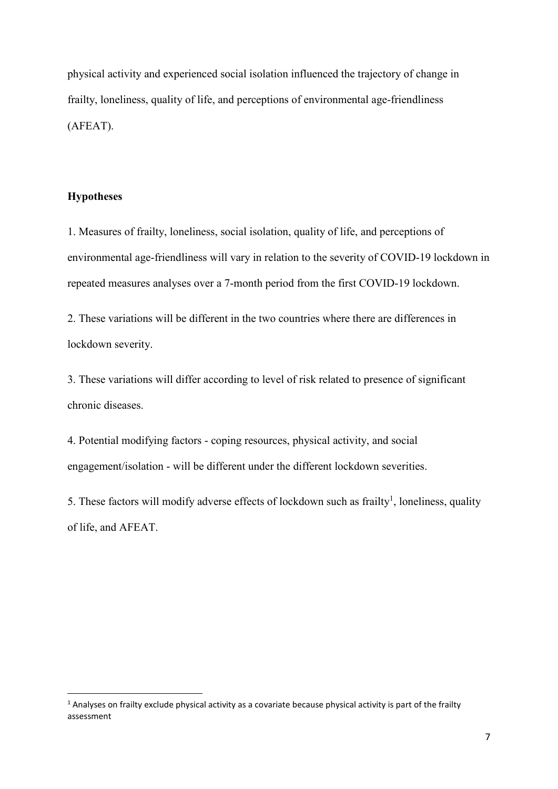physical activity and experienced social isolation influenced the trajectory of change in frailty, loneliness, quality of life, and perceptions of environmental age-friendliness (AFEAT).

# **Hypotheses**

1. Measures of frailty, loneliness, social isolation, quality of life, and perceptions of environmental age-friendliness will vary in relation to the severity of COVID-19 lockdown in repeated measures analyses over a 7-month period from the first COVID-19 lockdown.

2. These variations will be different in the two countries where there are differences in lockdown severity.

3. These variations will differ according to level of risk related to presence of significant chronic diseases.

4. Potential modifying factors - coping resources, physical activity, and social engagement/isolation - will be different under the different lockdown severities.

5. These factors will modify adverse effects of lockdown such as frailty<sup>1</sup>, loneliness, quality of life, and AFEAT.

<sup>&</sup>lt;sup>1</sup> Analyses on frailty exclude physical activity as a covariate because physical activity is part of the frailty assessment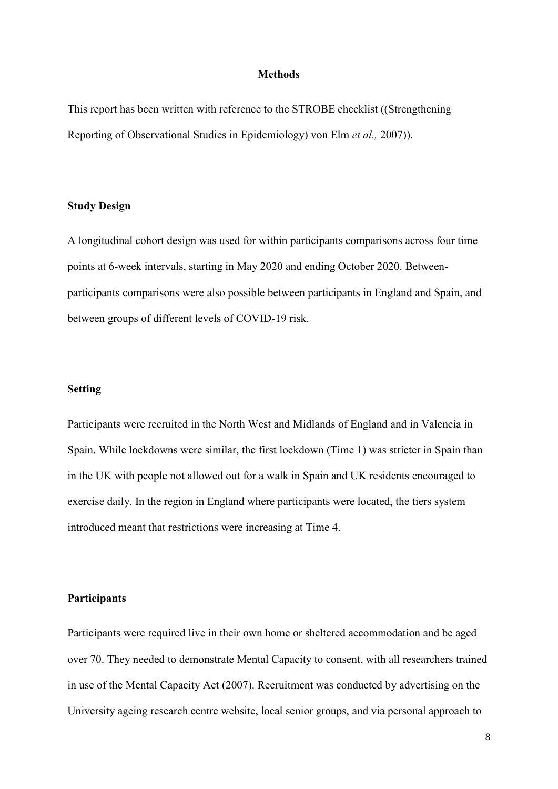#### **Methods**

This report has been written with reference to the STROBE checklist ((Strengthening Reporting of Observational Studies in Epidemiology) von Elm *et al.,* 2007)).

#### **Study Design**

A longitudinal cohort design was used for within participants comparisons across four time points at 6-week intervals, starting in May 2020 and ending October 2020. Betweenparticipants comparisons were also possible between participants in England and Spain, and between groups of different levels of COVID-19 risk.

## **Setting**

Participants were recruited in the North West and Midlands of England and in Valencia in Spain. While lockdowns were similar, the first lockdown (Time 1) was stricter in Spain than in the UK with people not allowed out for a walk in Spain and UK residents encouraged to exercise daily. In the region in England where participants were located, the tiers system introduced meant that restrictions were increasing at Time 4.

#### **Participants**

Participants were required live in their own home or sheltered accommodation and be aged over 70. They needed to demonstrate Mental Capacity to consent, with all researchers trained in use of the Mental Capacity Act (2007). Recruitment was conducted by advertising on the University ageing research centre website, local senior groups, and via personal approach to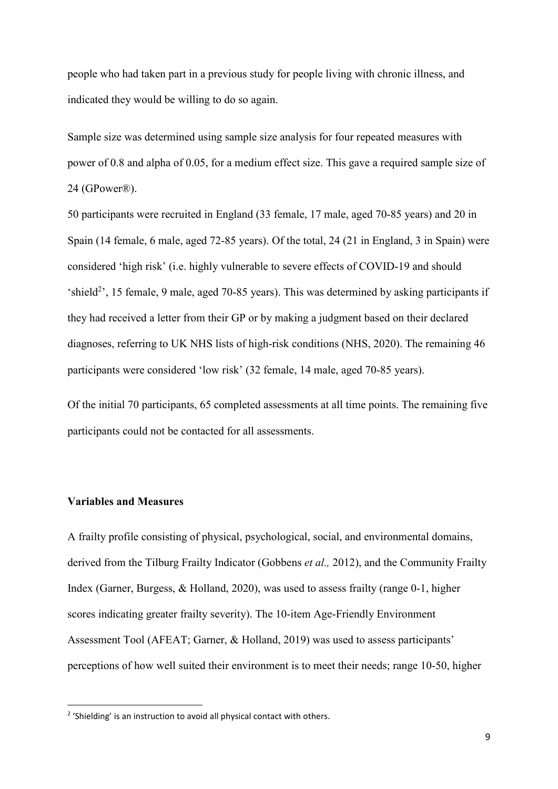people who had taken part in a previous study for people living with chronic illness, and indicated they would be willing to do so again.

Sample size was determined using sample size analysis for four repeated measures with power of 0.8 and alpha of 0.05, for a medium effect size. This gave a required sample size of 24 (GPower®).

50 participants were recruited in England (33 female, 17 male, aged 70-85 years) and 20 in Spain (14 female, 6 male, aged 72-85 years). Of the total, 24 (21 in England, 3 in Spain) were considered 'high risk' (i.e. highly vulnerable to severe effects of COVID-19 and should 'shield<sup>2</sup>', 15 female, 9 male, aged 70-85 years). This was determined by asking participants if they had received a letter from their GP or by making a judgment based on their declared diagnoses, referring to UK NHS lists of high-risk conditions (NHS, 2020). The remaining 46 participants were considered 'low risk' (32 female, 14 male, aged 70-85 years).

Of the initial 70 participants, 65 completed assessments at all time points. The remaining five participants could not be contacted for all assessments.

#### **Variables and Measures**

A frailty profile consisting of physical, psychological, social, and environmental domains, derived from the Tilburg Frailty Indicator (Gobbens *et al.,* 2012), and the Community Frailty Index (Garner, Burgess, & Holland, 2020), was used to assess frailty (range 0-1, higher scores indicating greater frailty severity). The 10-item Age-Friendly Environment Assessment Tool (AFEAT; Garner, & Holland, 2019) was used to assess participants' perceptions of how well suited their environment is to meet their needs; range 10-50, higher

<sup>&</sup>lt;sup>2</sup> 'Shielding' is an instruction to avoid all physical contact with others.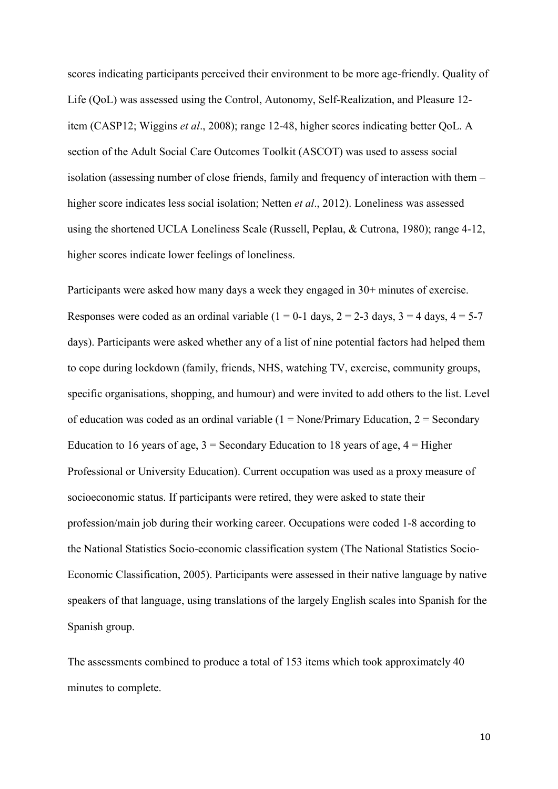scores indicating participants perceived their environment to be more age-friendly. Quality of Life (QoL) was assessed using the Control, Autonomy, Self-Realization, and Pleasure 12 item (CASP12; Wiggins *et al*., 2008); range 12-48, higher scores indicating better QoL. A section of the Adult Social Care Outcomes Toolkit (ASCOT) was used to assess social isolation (assessing number of close friends, family and frequency of interaction with them – higher score indicates less social isolation; Netten *et al*., 2012). Loneliness was assessed using the shortened UCLA Loneliness Scale (Russell, Peplau, & Cutrona, 1980); range 4-12, higher scores indicate lower feelings of loneliness.

Participants were asked how many days a week they engaged in 30+ minutes of exercise. Responses were coded as an ordinal variable ( $1 = 0$ -1 days,  $2 = 2$ -3 days,  $3 = 4$  days,  $4 = 5$ -7 days). Participants were asked whether any of a list of nine potential factors had helped them to cope during lockdown (family, friends, NHS, watching TV, exercise, community groups, specific organisations, shopping, and humour) and were invited to add others to the list. Level of education was coded as an ordinal variable  $(1 = \text{None/Primary Education}, 2 = \text{Secondary})$ Education to 16 years of age,  $3 =$  Secondary Education to 18 years of age,  $4 =$  Higher Professional or University Education). Current occupation was used as a proxy measure of socioeconomic status. If participants were retired, they were asked to state their profession/main job during their working career. Occupations were coded 1-8 according to the National Statistics Socio-economic classification system (The National Statistics Socio-Economic Classification, 2005). Participants were assessed in their native language by native speakers of that language, using translations of the largely English scales into Spanish for the Spanish group.

The assessments combined to produce a total of 153 items which took approximately 40 minutes to complete.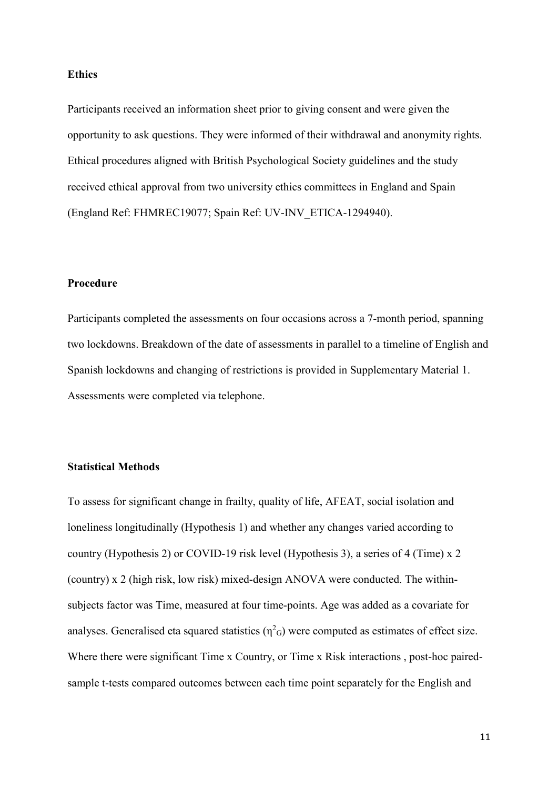#### **Ethics**

Participants received an information sheet prior to giving consent and were given the opportunity to ask questions. They were informed of their withdrawal and anonymity rights. Ethical procedures aligned with British Psychological Society guidelines and the study received ethical approval from two university ethics committees in England and Spain (England Ref: FHMREC19077; Spain Ref: UV-INV\_ETICA-1294940).

## **Procedure**

Participants completed the assessments on four occasions across a 7-month period, spanning two lockdowns. Breakdown of the date of assessments in parallel to a timeline of English and Spanish lockdowns and changing of restrictions is provided in Supplementary Material 1. Assessments were completed via telephone.

## **Statistical Methods**

To assess for significant change in frailty, quality of life, AFEAT, social isolation and loneliness longitudinally (Hypothesis 1) and whether any changes varied according to country (Hypothesis 2) or COVID-19 risk level (Hypothesis 3), a series of 4 (Time) x 2 (country) x 2 (high risk, low risk) mixed-design ANOVA were conducted. The withinsubjects factor was Time, measured at four time-points. Age was added as a covariate for analyses. Generalised eta squared statistics  $(\eta^2 G)$  were computed as estimates of effect size. Where there were significant Time x Country, or Time x Risk interactions , post-hoc pairedsample t-tests compared outcomes between each time point separately for the English and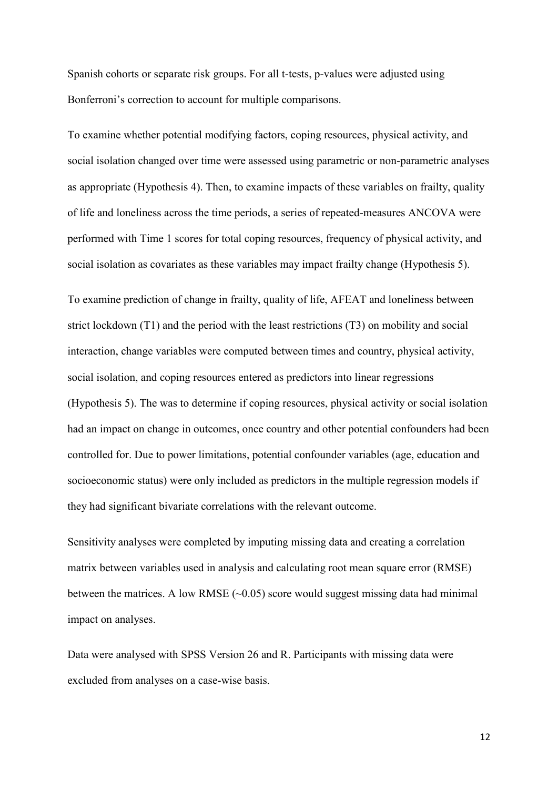Spanish cohorts or separate risk groups. For all t-tests, p-values were adjusted using Bonferroni's correction to account for multiple comparisons.

To examine whether potential modifying factors, coping resources, physical activity, and social isolation changed over time were assessed using parametric or non-parametric analyses as appropriate (Hypothesis 4). Then, to examine impacts of these variables on frailty, quality of life and loneliness across the time periods, a series of repeated-measures ANCOVA were performed with Time 1 scores for total coping resources, frequency of physical activity, and social isolation as covariates as these variables may impact frailty change (Hypothesis 5).

To examine prediction of change in frailty, quality of life, AFEAT and loneliness between strict lockdown (T1) and the period with the least restrictions (T3) on mobility and social interaction, change variables were computed between times and country, physical activity, social isolation, and coping resources entered as predictors into linear regressions (Hypothesis 5). The was to determine if coping resources, physical activity or social isolation had an impact on change in outcomes, once country and other potential confounders had been controlled for. Due to power limitations, potential confounder variables (age, education and socioeconomic status) were only included as predictors in the multiple regression models if they had significant bivariate correlations with the relevant outcome.

Sensitivity analyses were completed by imputing missing data and creating a correlation matrix between variables used in analysis and calculating root mean square error (RMSE) between the matrices. A low RMSE  $(-0.05)$  score would suggest missing data had minimal impact on analyses.

Data were analysed with SPSS Version 26 and R. Participants with missing data were excluded from analyses on a case-wise basis.

12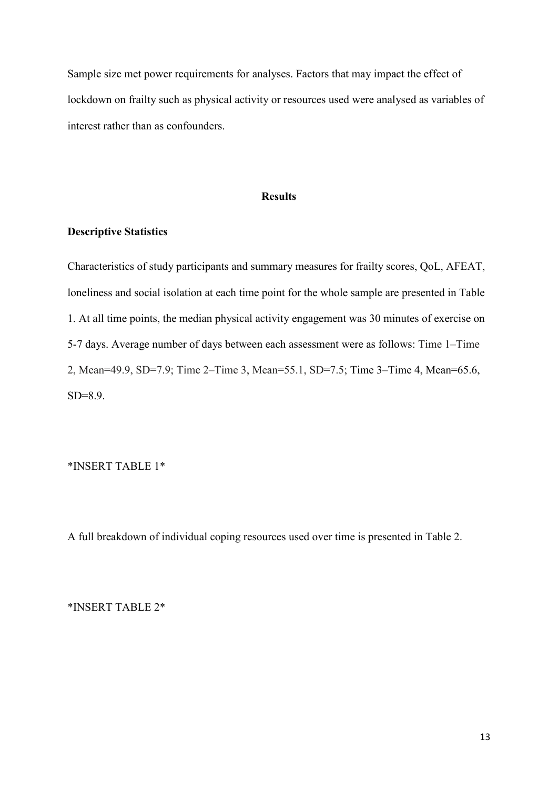Sample size met power requirements for analyses. Factors that may impact the effect of lockdown on frailty such as physical activity or resources used were analysed as variables of interest rather than as confounders.

## **Results**

# **Descriptive Statistics**

Characteristics of study participants and summary measures for frailty scores, QoL, AFEAT, loneliness and social isolation at each time point for the whole sample are presented in Table 1. At all time points, the median physical activity engagement was 30 minutes of exercise on 5-7 days. Average number of days between each assessment were as follows: Time 1–Time 2, Mean=49.9, SD=7.9; Time 2–Time 3, Mean=55.1, SD=7.5; Time 3–Time 4, Mean=65.6, SD=8.9.

\*INSERT TABLE 1\*

A full breakdown of individual coping resources used over time is presented in Table 2.

\*INSERT TABLE 2\*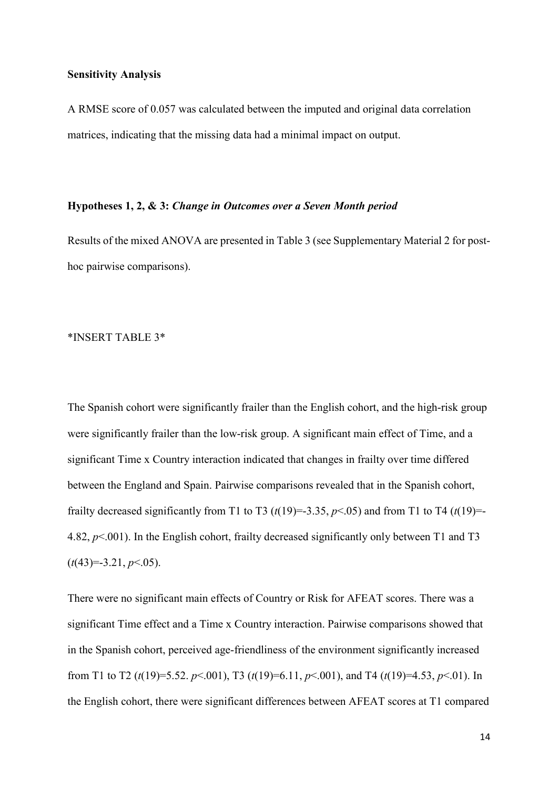#### **Sensitivity Analysis**

A RMSE score of 0.057 was calculated between the imputed and original data correlation matrices, indicating that the missing data had a minimal impact on output.

#### **Hypotheses 1, 2, & 3:** *Change in Outcomes over a Seven Month period*

Results of the mixed ANOVA are presented in Table 3 (see Supplementary Material 2 for posthoc pairwise comparisons).

## \*INSERT TABLE 3\*

The Spanish cohort were significantly frailer than the English cohort, and the high-risk group were significantly frailer than the low-risk group. A significant main effect of Time, and a significant Time x Country interaction indicated that changes in frailty over time differed between the England and Spain. Pairwise comparisons revealed that in the Spanish cohort, frailty decreased significantly from T1 to T3 ( $t(19) = -3.35$ ,  $p < .05$ ) and from T1 to T4 ( $t(19) = -1$ 4.82, *p*<.001). In the English cohort, frailty decreased significantly only between T1 and T3  $(t(43)=3.21, p<.05)$ .

There were no significant main effects of Country or Risk for AFEAT scores. There was a significant Time effect and a Time x Country interaction. Pairwise comparisons showed that in the Spanish cohort, perceived age-friendliness of the environment significantly increased from T1 to T2 (*t*(19)=5.52. *p*<.001), T3 (*t*(19)=6.11, *p*<.001), and T4 (*t*(19)=4.53, *p*<.01). In the English cohort, there were significant differences between AFEAT scores at T1 compared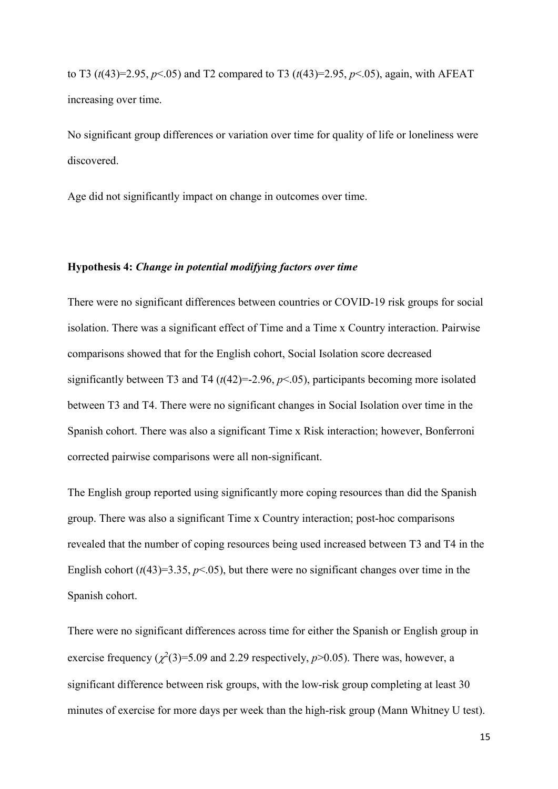to T3 (*t*(43)=2.95, *p*<.05) and T2 compared to T3 (*t*(43)=2.95, *p*<.05), again, with AFEAT increasing over time.

No significant group differences or variation over time for quality of life or loneliness were discovered.

Age did not significantly impact on change in outcomes over time.

#### **Hypothesis 4:** *Change in potential modifying factors over time*

There were no significant differences between countries or COVID-19 risk groups for social isolation. There was a significant effect of Time and a Time x Country interaction. Pairwise comparisons showed that for the English cohort, Social Isolation score decreased significantly between T3 and T4 ( $t$ (42)=-2.96,  $p$ <.05), participants becoming more isolated between T3 and T4. There were no significant changes in Social Isolation over time in the Spanish cohort. There was also a significant Time x Risk interaction; however, Bonferroni corrected pairwise comparisons were all non-significant.

The English group reported using significantly more coping resources than did the Spanish group. There was also a significant Time x Country interaction; post-hoc comparisons revealed that the number of coping resources being used increased between T3 and T4 in the English cohort  $(t(43)=3.35, p<0.05)$ , but there were no significant changes over time in the Spanish cohort.

There were no significant differences across time for either the Spanish or English group in exercise frequency  $(\chi^2(3)=5.09$  and 2.29 respectively,  $p>0.05$ ). There was, however, a significant difference between risk groups, with the low-risk group completing at least 30 minutes of exercise for more days per week than the high-risk group (Mann Whitney U test).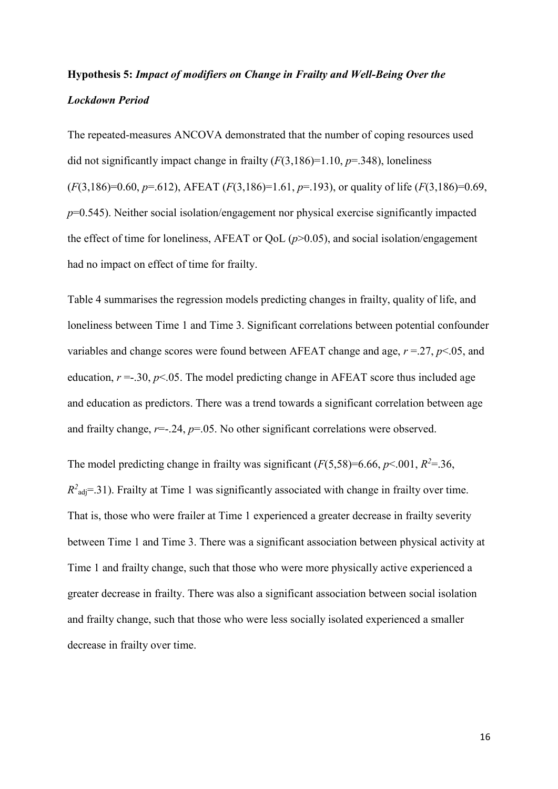# **Hypothesis 5:** *Impact of modifiers on Change in Frailty and Well-Being Over the Lockdown Period*

The repeated-measures ANCOVA demonstrated that the number of coping resources used did not significantly impact change in frailty (*F*(3,186)=1.10, *p*=.348), loneliness (*F*(3,186)=0.60, *p*=.612), AFEAT (*F*(3,186)=1.61, *p*=.193), or quality of life (*F*(3,186)=0.69, *p*=0.545). Neither social isolation/engagement nor physical exercise significantly impacted the effect of time for loneliness, AFEAT or QoL  $(p>0.05)$ , and social isolation/engagement had no impact on effect of time for frailty.

Table 4 summarises the regression models predicting changes in frailty, quality of life, and loneliness between Time 1 and Time 3. Significant correlations between potential confounder variables and change scores were found between AFEAT change and age, *r* =.27, *p*<.05, and education,  $r = 0.30$ ,  $p < 0.05$ . The model predicting change in AFEAT score thus included age and education as predictors. There was a trend towards a significant correlation between age and frailty change,  $r = 0.24$ ,  $p = 0.05$ . No other significant correlations were observed.

The model predicting change in frailty was significant  $(F(5,58)=6.66, p<.001, R^2=.36,$  $R^2$ <sub>adj</sub>=.31). Frailty at Time 1 was significantly associated with change in frailty over time. That is, those who were frailer at Time 1 experienced a greater decrease in frailty severity between Time 1 and Time 3. There was a significant association between physical activity at Time 1 and frailty change, such that those who were more physically active experienced a greater decrease in frailty. There was also a significant association between social isolation and frailty change, such that those who were less socially isolated experienced a smaller decrease in frailty over time.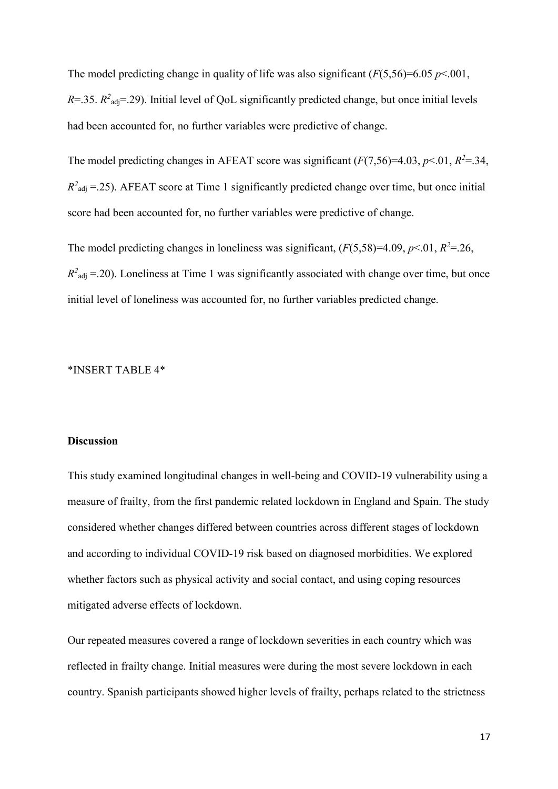The model predicting change in quality of life was also significant  $(F(5,56)=6.05 \, p<.001$ ,  $R = 0.35$ .  $R^2$ <sub>adj</sub>= .29). Initial level of QoL significantly predicted change, but once initial levels had been accounted for, no further variables were predictive of change.

The model predicting changes in AFEAT score was significant  $(F(7,56)=4.03, p<.01, R<sup>2</sup>=.34,$  $R^2_{\text{adj}} = .25$ ). AFEAT score at Time 1 significantly predicted change over time, but once initial score had been accounted for, no further variables were predictive of change.

The model predicting changes in loneliness was significant,  $(F(5,58)=4.09, p<.01, R^2=.26,$  $R^2_{\text{adj}} = .20$ ). Loneliness at Time 1 was significantly associated with change over time, but once initial level of loneliness was accounted for, no further variables predicted change.

# \*INSERT TABLE 4\*

#### **Discussion**

This study examined longitudinal changes in well-being and COVID-19 vulnerability using a measure of frailty, from the first pandemic related lockdown in England and Spain. The study considered whether changes differed between countries across different stages of lockdown and according to individual COVID-19 risk based on diagnosed morbidities. We explored whether factors such as physical activity and social contact, and using coping resources mitigated adverse effects of lockdown.

Our repeated measures covered a range of lockdown severities in each country which was reflected in frailty change. Initial measures were during the most severe lockdown in each country. Spanish participants showed higher levels of frailty, perhaps related to the strictness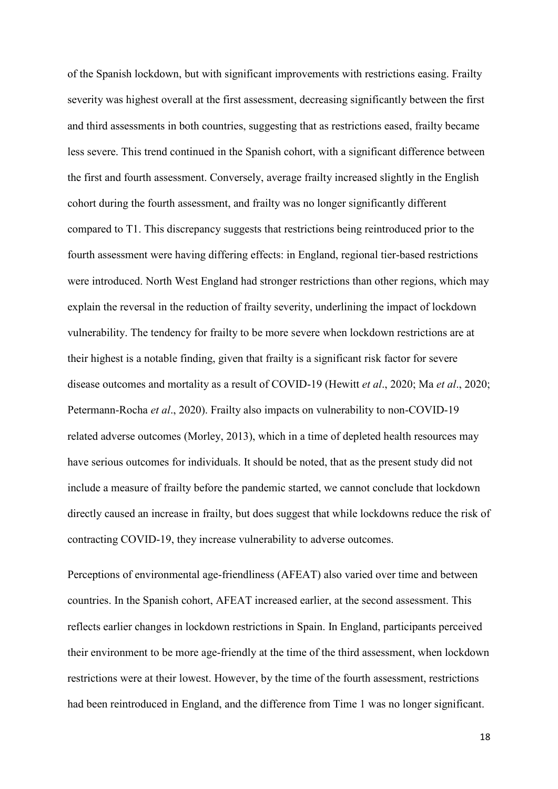of the Spanish lockdown, but with significant improvements with restrictions easing. Frailty severity was highest overall at the first assessment, decreasing significantly between the first and third assessments in both countries, suggesting that as restrictions eased, frailty became less severe. This trend continued in the Spanish cohort, with a significant difference between the first and fourth assessment. Conversely, average frailty increased slightly in the English cohort during the fourth assessment, and frailty was no longer significantly different compared to T1. This discrepancy suggests that restrictions being reintroduced prior to the fourth assessment were having differing effects: in England, regional tier-based restrictions were introduced. North West England had stronger restrictions than other regions, which may explain the reversal in the reduction of frailty severity, underlining the impact of lockdown vulnerability. The tendency for frailty to be more severe when lockdown restrictions are at their highest is a notable finding, given that frailty is a significant risk factor for severe disease outcomes and mortality as a result of COVID-19 (Hewitt *et al*., 2020; Ma *et al*., 2020; Petermann-Rocha *et al*., 2020). Frailty also impacts on vulnerability to non-COVID-19 related adverse outcomes (Morley, 2013), which in a time of depleted health resources may have serious outcomes for individuals. It should be noted, that as the present study did not include a measure of frailty before the pandemic started, we cannot conclude that lockdown directly caused an increase in frailty, but does suggest that while lockdowns reduce the risk of contracting COVID-19, they increase vulnerability to adverse outcomes.

Perceptions of environmental age-friendliness (AFEAT) also varied over time and between countries. In the Spanish cohort, AFEAT increased earlier, at the second assessment. This reflects earlier changes in lockdown restrictions in Spain. In England, participants perceived their environment to be more age-friendly at the time of the third assessment, when lockdown restrictions were at their lowest. However, by the time of the fourth assessment, restrictions had been reintroduced in England, and the difference from Time 1 was no longer significant.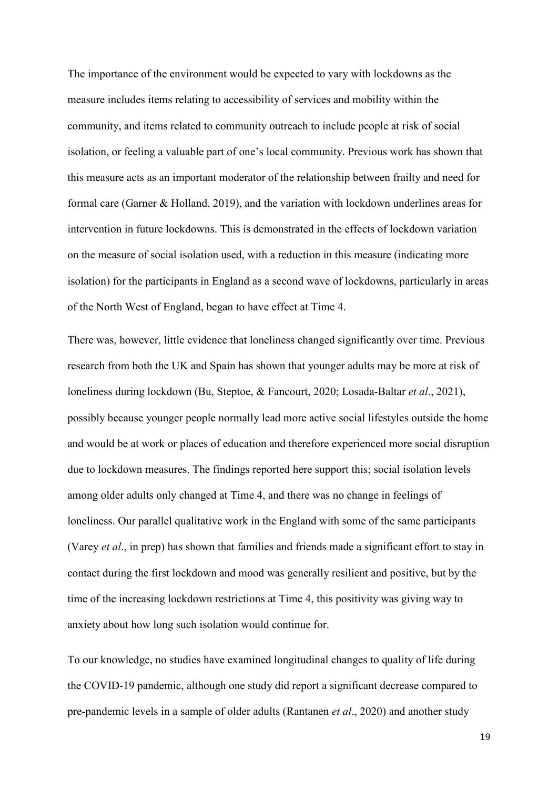The importance of the environment would be expected to vary with lockdowns as the measure includes items relating to accessibility of services and mobility within the community, and items related to community outreach to include people at risk of social isolation, or feeling a valuable part of one's local community. Previous work has shown that this measure acts as an important moderator of the relationship between frailty and need for formal care (Garner & Holland, 2019), and the variation with lockdown underlines areas for intervention in future lockdowns. This is demonstrated in the effects of lockdown variation on the measure of social isolation used, with a reduction in this measure (indicating more isolation) for the participants in England as a second wave of lockdowns, particularly in areas of the North West of England, began to have effect at Time 4.

There was, however, little evidence that loneliness changed significantly over time. Previous research from both the UK and Spain has shown that younger adults may be more at risk of loneliness during lockdown (Bu, Steptoe, & Fancourt, 2020; Losada-Baltar *et al*., 2021), possibly because younger people normally lead more active social lifestyles outside the home and would be at work or places of education and therefore experienced more social disruption due to lockdown measures. The findings reported here support this; social isolation levels among older adults only changed at Time 4, and there was no change in feelings of loneliness. Our parallel qualitative work in the England with some of the same participants (Varey *et al*., in prep) has shown that families and friends made a significant effort to stay in contact during the first lockdown and mood was generally resilient and positive, but by the time of the increasing lockdown restrictions at Time 4, this positivity was giving way to anxiety about how long such isolation would continue for.

To our knowledge, no studies have examined longitudinal changes to quality of life during the COVID-19 pandemic, although one study did report a significant decrease compared to pre-pandemic levels in a sample of older adults (Rantanen *et al*., 2020) and another study

19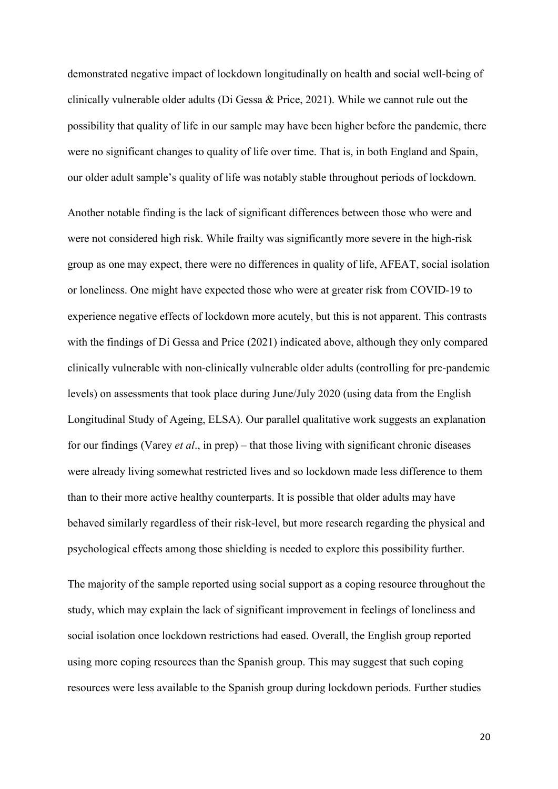demonstrated negative impact of lockdown longitudinally on health and social well-being of clinically vulnerable older adults (Di Gessa & Price, 2021). While we cannot rule out the possibility that quality of life in our sample may have been higher before the pandemic, there were no significant changes to quality of life over time. That is, in both England and Spain, our older adult sample's quality of life was notably stable throughout periods of lockdown.

Another notable finding is the lack of significant differences between those who were and were not considered high risk. While frailty was significantly more severe in the high-risk group as one may expect, there were no differences in quality of life, AFEAT, social isolation or loneliness. One might have expected those who were at greater risk from COVID-19 to experience negative effects of lockdown more acutely, but this is not apparent. This contrasts with the findings of Di Gessa and Price (2021) indicated above, although they only compared clinically vulnerable with non-clinically vulnerable older adults (controlling for pre-pandemic levels) on assessments that took place during June/July 2020 (using data from the English Longitudinal Study of Ageing, ELSA). Our parallel qualitative work suggests an explanation for our findings (Varey *et al*., in prep) – that those living with significant chronic diseases were already living somewhat restricted lives and so lockdown made less difference to them than to their more active healthy counterparts. It is possible that older adults may have behaved similarly regardless of their risk-level, but more research regarding the physical and psychological effects among those shielding is needed to explore this possibility further.

The majority of the sample reported using social support as a coping resource throughout the study, which may explain the lack of significant improvement in feelings of loneliness and social isolation once lockdown restrictions had eased. Overall, the English group reported using more coping resources than the Spanish group. This may suggest that such coping resources were less available to the Spanish group during lockdown periods. Further studies

20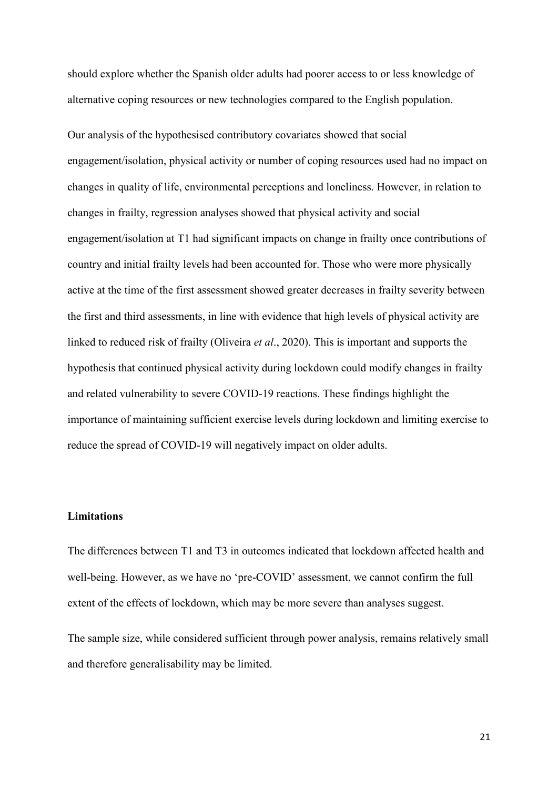should explore whether the Spanish older adults had poorer access to or less knowledge of alternative coping resources or new technologies compared to the English population.

Our analysis of the hypothesised contributory covariates showed that social engagement/isolation, physical activity or number of coping resources used had no impact on changes in quality of life, environmental perceptions and loneliness. However, in relation to changes in frailty, regression analyses showed that physical activity and social engagement/isolation at T1 had significant impacts on change in frailty once contributions of country and initial frailty levels had been accounted for. Those who were more physically active at the time of the first assessment showed greater decreases in frailty severity between the first and third assessments, in line with evidence that high levels of physical activity are linked to reduced risk of frailty (Oliveira *et al*., 2020). This is important and supports the hypothesis that continued physical activity during lockdown could modify changes in frailty and related vulnerability to severe COVID-19 reactions. These findings highlight the importance of maintaining sufficient exercise levels during lockdown and limiting exercise to reduce the spread of COVID-19 will negatively impact on older adults.

## **Limitations**

The differences between T1 and T3 in outcomes indicated that lockdown affected health and well-being. However, as we have no 'pre-COVID' assessment, we cannot confirm the full extent of the effects of lockdown, which may be more severe than analyses suggest.

The sample size, while considered sufficient through power analysis, remains relatively small and therefore generalisability may be limited.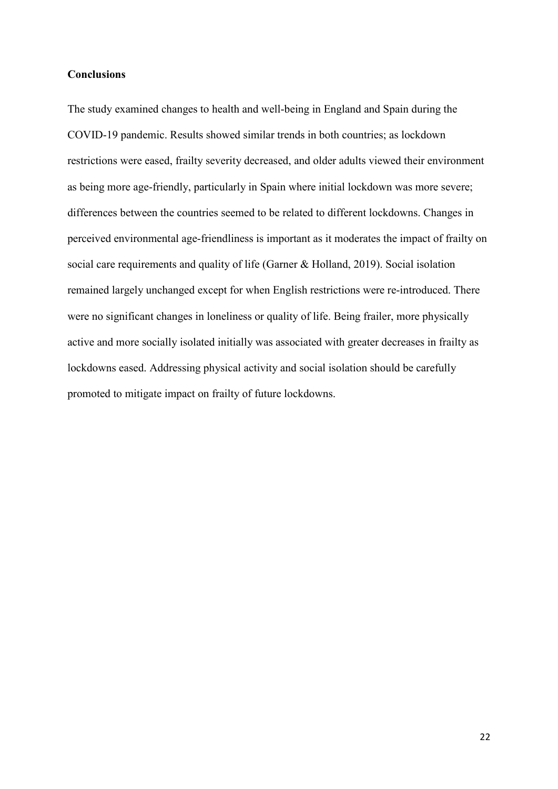# **Conclusions**

The study examined changes to health and well-being in England and Spain during the COVID-19 pandemic. Results showed similar trends in both countries; as lockdown restrictions were eased, frailty severity decreased, and older adults viewed their environment as being more age-friendly, particularly in Spain where initial lockdown was more severe; differences between the countries seemed to be related to different lockdowns. Changes in perceived environmental age-friendliness is important as it moderates the impact of frailty on social care requirements and quality of life (Garner & Holland, 2019). Social isolation remained largely unchanged except for when English restrictions were re-introduced. There were no significant changes in loneliness or quality of life. Being frailer, more physically active and more socially isolated initially was associated with greater decreases in frailty as lockdowns eased. Addressing physical activity and social isolation should be carefully promoted to mitigate impact on frailty of future lockdowns.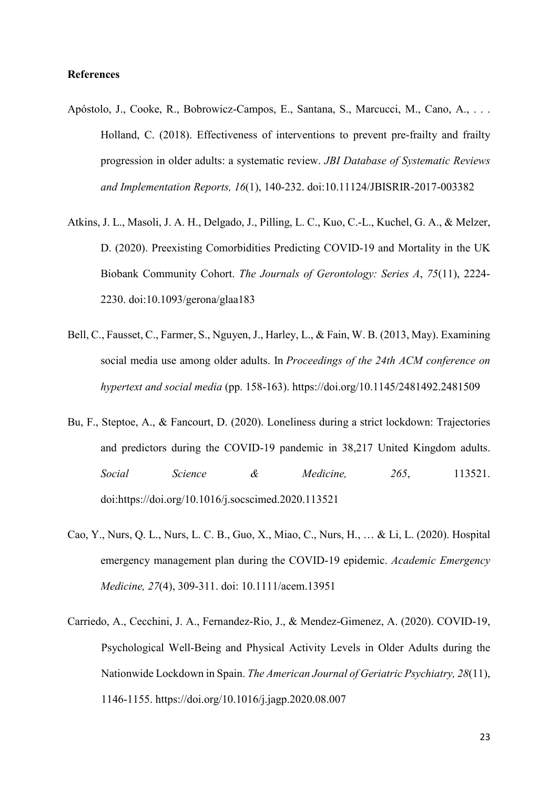## **References**

- Apóstolo, J., Cooke, R., Bobrowicz-Campos, E., Santana, S., Marcucci, M., Cano, A., . . . Holland, C. (2018). Effectiveness of interventions to prevent pre-frailty and frailty progression in older adults: a systematic review. *JBI Database of Systematic Reviews and Implementation Reports, 16*(1), 140-232. doi:10.11124/JBISRIR-2017-003382
- Atkins, J. L., Masoli, J. A. H., Delgado, J., Pilling, L. C., Kuo, C.-L., Kuchel, G. A., & Melzer, D. (2020). Preexisting Comorbidities Predicting COVID-19 and Mortality in the UK Biobank Community Cohort. *The Journals of Gerontology: Series A*, *75*(11), 2224- 2230. doi:10.1093/gerona/glaa183
- Bell, C., Fausset, C., Farmer, S., Nguyen, J., Harley, L., & Fain, W. B. (2013, May). Examining social media use among older adults. In *Proceedings of the 24th ACM conference on hypertext and social media* (pp. 158-163). <https://doi.org/10.1145/2481492.2481509>
- Bu, F., Steptoe, A., & Fancourt, D. (2020). Loneliness during a strict lockdown: Trajectories and predictors during the COVID-19 pandemic in 38,217 United Kingdom adults. *Social Science & Medicine, 265*, 113521. doi:https://doi.org/10.1016/j.socscimed.2020.113521
- Cao, Y., Nurs, Q. L., Nurs, L. C. B., Guo, X., Miao, C., Nurs, H., … & Li, L. (2020). Hospital emergency management plan during the COVID-19 epidemic. *Academic Emergency Medicine, 27*(4), 309-311. doi: 10.1111/acem.13951
- Carriedo, A., Cecchini, J. A., Fernandez-Rio, J., & Mendez-Gimenez, A. (2020). COVID-19, Psychological Well-Being and Physical Activity Levels in Older Adults during the Nationwide Lockdown in Spain. *The American Journal of Geriatric Psychiatry, 28*(11), 1146-1155. https://doi.org/10.1016/j.jagp.2020.08.007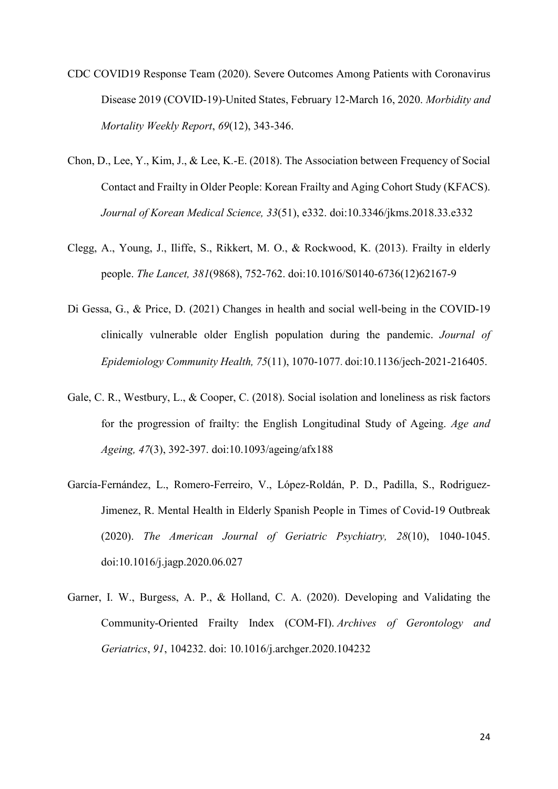- CDC COVID19 Response Team (2020). Severe Outcomes Among Patients with Coronavirus Disease 2019 (COVID-19)-United States, February 12-March 16, 2020. *Morbidity and Mortality Weekly Report*, *69*(12), 343-346.
- Chon, D., Lee, Y., Kim, J., & Lee, K.-E. (2018). The Association between Frequency of Social Contact and Frailty in Older People: Korean Frailty and Aging Cohort Study (KFACS). *Journal of Korean Medical Science, 33*(51), e332. doi:10.3346/jkms.2018.33.e332
- Clegg, A., Young, J., Iliffe, S., Rikkert, M. O., & Rockwood, K. (2013). Frailty in elderly people. *The Lancet, 381*(9868), 752-762. doi[:10.1016/S0140-6736\(12\)62167-9](https://doi.org/%2010.1016/S0140-6736(12)62167-9)
- Di Gessa, G., & Price, D. (2021) Changes in health and social well-being in the COVID-19 clinically vulnerable older English population during the pandemic. *Journal of Epidemiology Community Health, 75*(11), 1070-1077. doi:10.1136/jech-2021-216405.
- Gale, C. R., Westbury, L., & Cooper, C. (2018). Social isolation and loneliness as risk factors for the progression of frailty: the English Longitudinal Study of Ageing. *Age and Ageing, 47*(3), 392-397. doi:10.1093/ageing/afx188
- García-Fernández, L., Romero-Ferreiro, V., López-Roldán, P. D., Padilla, S., Rodriguez-Jimenez, R. Mental Health in Elderly Spanish People in Times of Covid-19 Outbreak (2020). *The American Journal of Geriatric Psychiatry, 28*(10), 1040-1045. doi:10.1016/j.jagp.2020.06.027
- Garner, I. W., Burgess, A. P., & Holland, C. A. (2020). Developing and Validating the Community-Oriented Frailty Index (COM-FI). *Archives of Gerontology and Geriatrics*, *91*, 104232. doi: 10.1016/j.archger.2020.104232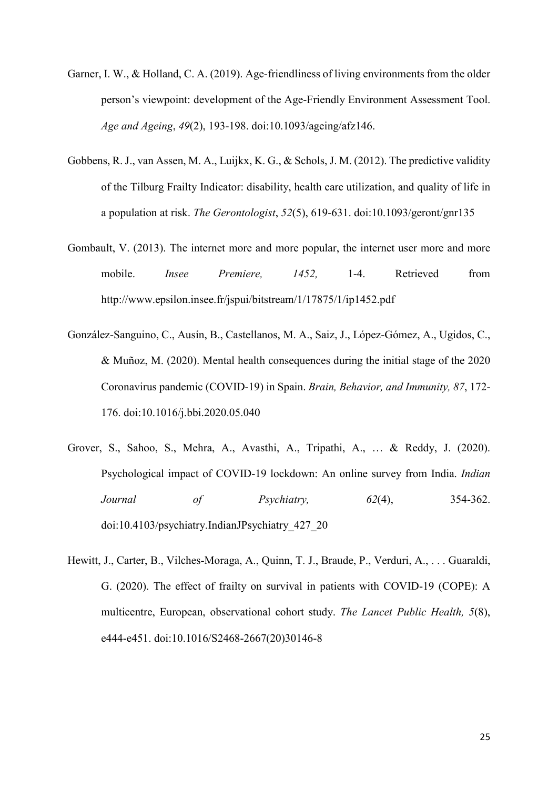- Garner, I. W., & Holland, C. A. (2019). Age-friendliness of living environments from the older person's viewpoint: development of the Age-Friendly Environment Assessment Tool. *Age and Ageing*, *49*(2), 193-198. doi:10.1093/ageing/afz146.
- Gobbens, R. J., van Assen, M. A., Luijkx, K. G., & Schols, J. M. (2012). The predictive validity of the Tilburg Frailty Indicator: disability, health care utilization, and quality of life in a population at risk. *The Gerontologist*, *52*(5), 619-631. doi:10.1093/geront/gnr135
- Gombault, V. (2013). The internet more and more popular, the internet user more and more mobile. *Insee Premiere, 1452,* 1-4. Retrieved from http://www.epsilon.insee.fr/jspui/bitstream/1/17875/1/ip1452.pdf
- González-Sanguino, C., Ausín, B., Castellanos, M. A., Saiz, J., López-Gómez, A., Ugidos, C., & Muñoz, M. (2020). Mental health consequences during the initial stage of the 2020 Coronavirus pandemic (COVID-19) in Spain. *Brain, Behavior, and Immunity, 87*, 172- 176. doi:10.1016/j.bbi.2020.05.040
- Grover, S., Sahoo, S., Mehra, A., Avasthi, A., Tripathi, A., … & Reddy, J. (2020). Psychological impact of COVID-19 lockdown: An online survey from India. *Indian Journal of Psychiatry, 62*(4), 354-362. doi:10.4103/psychiatry.IndianJPsychiatry\_427\_20
- Hewitt, J., Carter, B., Vilches-Moraga, A., Quinn, T. J., Braude, P., Verduri, A., . . . Guaraldi, G. (2020). The effect of frailty on survival in patients with COVID-19 (COPE): A multicentre, European, observational cohort study. *The Lancet Public Health, 5*(8), e444-e451. doi[:10.1016/S2468-2667\(20\)30146-8](https://doi.org/10.1016/S2468-2667(20)30146-8)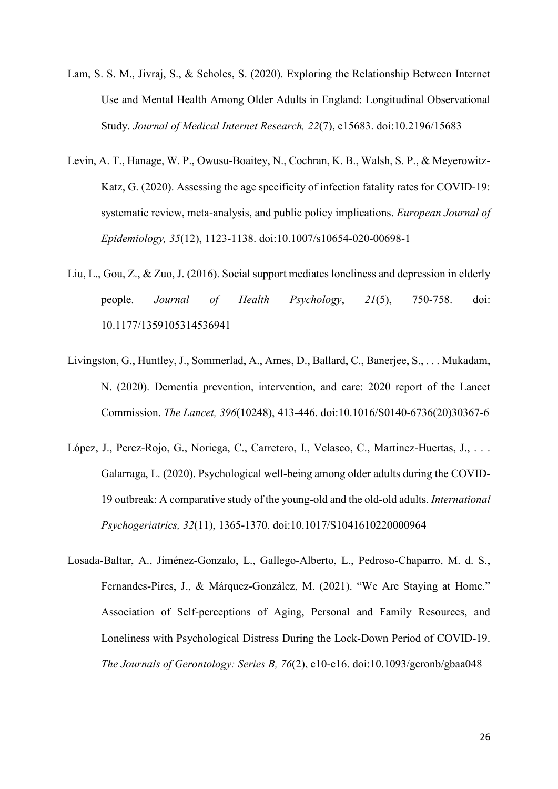- Lam, S. S. M., Jivraj, S., & Scholes, S. (2020). Exploring the Relationship Between Internet Use and Mental Health Among Older Adults in England: Longitudinal Observational Study. *Journal of Medical Internet Research, 22*(7), e15683. doi:10.2196/15683
- Levin, A. T., Hanage, W. P., Owusu-Boaitey, N., Cochran, K. B., Walsh, S. P., & Meyerowitz-Katz, G. (2020). Assessing the age specificity of infection fatality rates for COVID-19: systematic review, meta-analysis, and public policy implications. *European Journal of Epidemiology, 35*(12), 1123-1138. doi:10.1007/s10654-020-00698-1
- Liu, L., Gou, Z., & Zuo, J. (2016). Social support mediates loneliness and depression in elderly people. *Journal of Health Psychology*, *21*(5), 750-758. doi: 10.1177/1359105314536941
- Livingston, G., Huntley, J., Sommerlad, A., Ames, D., Ballard, C., Banerjee, S., . . . Mukadam, N. (2020). Dementia prevention, intervention, and care: 2020 report of the Lancet Commission. *The Lancet, 396*(10248), 413-446. doi:10.1016/S0140-6736(20)30367-6
- López, J., Perez-Rojo, G., Noriega, C., Carretero, I., Velasco, C., Martinez-Huertas, J., . . . Galarraga, L. (2020). Psychological well-being among older adults during the COVID-19 outbreak: A comparative study of the young-old and the old-old adults. *International Psychogeriatrics, 32*(11), 1365-1370. doi:10.1017/S1041610220000964
- Losada-Baltar, A., Jiménez-Gonzalo, L., Gallego-Alberto, L., Pedroso-Chaparro, M. d. S., Fernandes-Pires, J., & Márquez-González, M. (2021). "We Are Staying at Home." Association of Self-perceptions of Aging, Personal and Family Resources, and Loneliness with Psychological Distress During the Lock-Down Period of COVID-19. *The Journals of Gerontology: Series B, 76*(2), e10-e16. doi:10.1093/geronb/gbaa048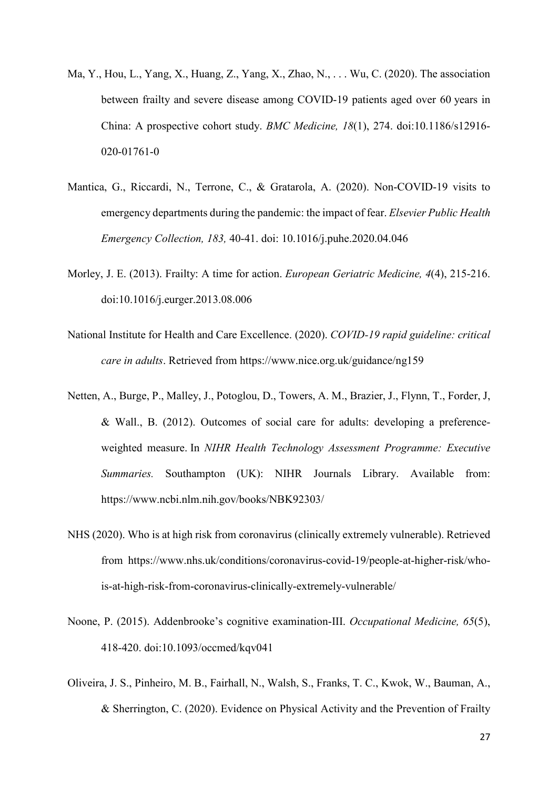- Ma, Y., Hou, L., Yang, X., Huang, Z., Yang, X., Zhao, N., . . . Wu, C. (2020). The association between frailty and severe disease among COVID-19 patients aged over 60 years in China: A prospective cohort study. *BMC Medicine, 18*(1), 274. doi:10.1186/s12916- 020-01761-0
- Mantica, G., Riccardi, N., Terrone, C., & Gratarola, A. (2020). Non-COVID-19 visits to emergency departments during the pandemic: the impact of fear. *Elsevier Public Health Emergency Collection, 183,* 40-41. doi: [10.1016/j.puhe.2020.04.046](https://dx.doi.org/10.1016%2Fj.puhe.2020.04.046)
- Morley, J. E. (2013). Frailty: A time for action. *European Geriatric Medicine, 4*(4), 215-216. doi:10.1016/j.eurger.2013.08.006
- National Institute for Health and Care Excellence. (2020). *COVID-19 rapid guideline: critical care in adults*. Retrieved from https://www.nice.org.uk/guidance/ng159
- Netten, A., Burge, P., Malley, J., Potoglou, D., Towers, A. M., Brazier, J., Flynn, T., Forder, J, & Wall., B. (2012). Outcomes of social care for adults: developing a preferenceweighted measure. In *NIHR Health Technology Assessment Programme: Executive Summaries.* Southampton (UK): NIHR Journals Library. Available from: <https://www.ncbi.nlm.nih.gov/books/NBK92303/>
- NHS (2020). Who is at high risk from coronavirus (clinically extremely vulnerable). Retrieved from https://www.nhs.uk/conditions/coronavirus-covid-19/people-at-higher-risk/whois-at-high-risk-from-coronavirus-clinically-extremely-vulnerable/
- Noone, P. (2015). Addenbrooke's cognitive examination-III. *Occupational Medicine, 65*(5), 418-420. [doi:10.1093/occmed/kqv041](https://doi.org/10.1093/occmed/kqv041)
- Oliveira, J. S., Pinheiro, M. B., Fairhall, N., Walsh, S., Franks, T. C., Kwok, W., Bauman, A., & Sherrington, C. (2020). Evidence on Physical Activity and the Prevention of Frailty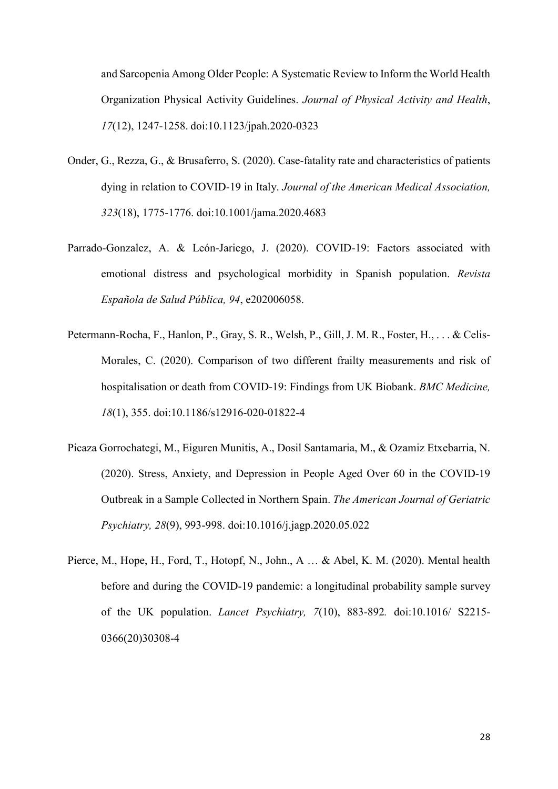and Sarcopenia Among Older People: A Systematic Review to Inform the World Health Organization Physical Activity Guidelines. *Journal of Physical Activity and Health*, *17*(12), 1247-1258. doi:10.1123/jpah.2020-0323

- Onder, G., Rezza, G., & Brusaferro, S. (2020). Case-fatality rate and characteristics of patients dying in relation to COVID-19 in Italy. *Journal of the American Medical Association, 323*(18), 1775-1776. doi:10.1001/jama.2020.4683
- Parrado-Gonzalez, A. & León-Jariego, J. (2020). COVID-19: Factors associated with emotional distress and psychological morbidity in Spanish population. *Revista Española de Salud Pública, 94*, e202006058.
- Petermann-Rocha, F., Hanlon, P., Gray, S. R., Welsh, P., Gill, J. M. R., Foster, H., . . . & Celis-Morales, C. (2020). Comparison of two different frailty measurements and risk of hospitalisation or death from COVID-19: Findings from UK Biobank. *BMC Medicine, 18*(1), 355. doi:10.1186/s12916-020-01822-4
- Picaza Gorrochategi, M., Eiguren Munitis, A., Dosil Santamaria, M., & Ozamiz Etxebarria, N. (2020). Stress, Anxiety, and Depression in People Aged Over 60 in the COVID-19 Outbreak in a Sample Collected in Northern Spain. *The American Journal of Geriatric Psychiatry, 28*(9), 993-998. doi:10.1016/j.jagp.2020.05.022
- Pierce, M., Hope, H., Ford, T., Hotopf, N., John., A … & Abel, K. M. (2020). Mental health before and during the COVID-19 pandemic: a longitudinal probability sample survey of the UK population. *Lancet Psychiatry, 7*(10), 883-892*.* doi:10.1016/ S2215- 0366(20)30308-4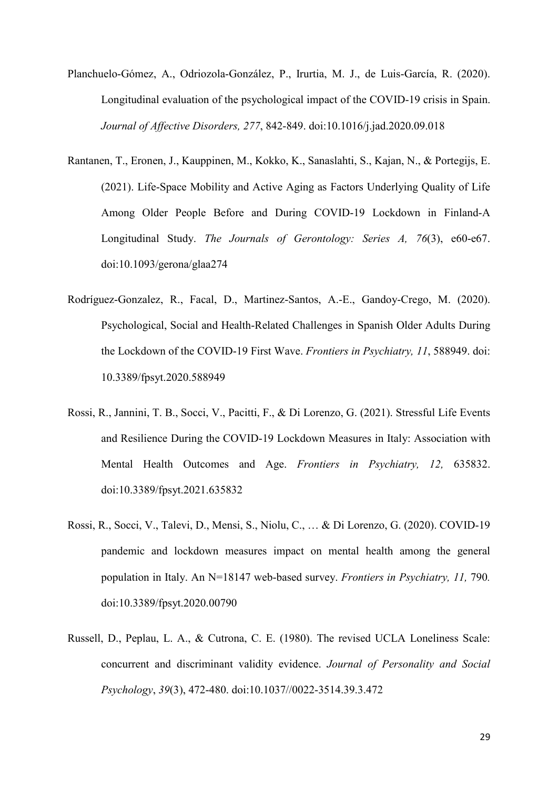- Planchuelo-Gómez, A., Odriozola-González, P., Irurtia, M. J., de Luis-García, R. (2020). Longitudinal evaluation of the psychological impact of the COVID-19 crisis in Spain. *Journal of Affective Disorders, 277*, 842-849. [doi:10.1016/j.jad.2020.09.018](https://doi.org/10.1016/j.jad.2020.09.018)
- Rantanen, T., Eronen, J., Kauppinen, M., Kokko, K., Sanaslahti, S., Kajan, N., & Portegijs, E. (2021). Life-Space Mobility and Active Aging as Factors Underlying Quality of Life Among Older People Before and During COVID-19 Lockdown in Finland-A Longitudinal Study. *The Journals of Gerontology: Series A, 76*(3), e60-e67. doi:10.1093/gerona/glaa274
- Rodríguez-Gonzalez, R., Facal, D., Martinez-Santos, A.-E., Gandoy-Crego, M. (2020). Psychological, Social and Health-Related Challenges in Spanish Older Adults During the Lockdown of the COVID-19 First Wave. *Frontiers in Psychiatry, 11*, 588949. doi: 10.3389/fpsyt.2020.588949
- Rossi, R., Jannini, T. B., Socci, V., Pacitti, F., & Di Lorenzo, G. (2021). Stressful Life Events and Resilience During the COVID-19 Lockdown Measures in Italy: Association with Mental Health Outcomes and Age. *Frontiers in Psychiatry, 12,* 635832. doi:10.3389/fpsyt.2021.635832
- Rossi, R., Socci, V., Talevi, D., Mensi, S., Niolu, C., … & Di Lorenzo, G. (2020). COVID-19 pandemic and lockdown measures impact on mental health among the general population in Italy. An N=18147 web-based survey. *Frontiers in Psychiatry, 11,* 790*.* doi:10.3389/fpsyt.2020.00790
- Russell, D., Peplau, L. A., & Cutrona, C. E. (1980). The revised UCLA Loneliness Scale: concurrent and discriminant validity evidence. *Journal of Personality and Social Psychology*, *39*(3), 472-480. doi:10.1037//0022-3514.39.3.472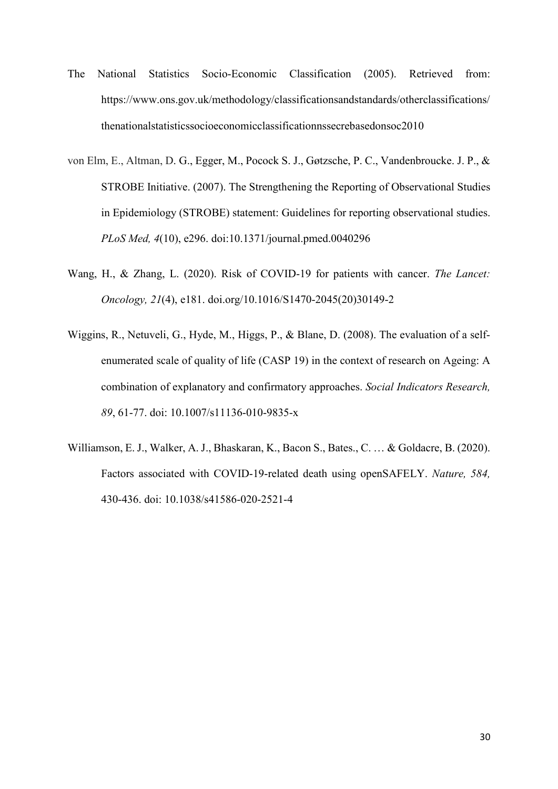- The National Statistics Socio-Economic Classification (2005). Retrieved from: https://www.ons.gov.uk/methodology/classificationsandstandards/otherclassifications/ thenationalstatisticssocioeconomicclassificationnssecrebasedonsoc2010
- von Elm, E., Altman, D. G., Egger, M., Pocock S. J., Gøtzsche, P. C., Vandenbroucke. J. P., & STROBE Initiative. (2007). [The Strengthening the Reporting of Observational Studies](https://pubmed.ncbi.nlm.nih.gov/17941714/)  in Epidemiology (STROBE) [statement: Guidelines for reporting observational studies.](https://pubmed.ncbi.nlm.nih.gov/17941714/) *PLoS Med, 4*(10), e296. doi:10.1371/journal.pmed.0040296
- Wang, H., & Zhang, L. (2020). Risk of COVID-19 for patients with cancer. *The Lancet: Oncology, 21*(4), e181. doi.org/10.1016/S1470-2045(20)30149-2
- Wiggins, R., Netuveli, G., Hyde, M., Higgs, P., & Blane, D. (2008). The evaluation of a selfenumerated scale of quality of life (CASP 19) in the context of research on Ageing: A combination of explanatory and confirmatory approaches. *Social Indicators Research, 89*, 61-77. doi: 10.1007/s11136-010-9835-x
- Williamson, E. J., Walker, A. J., Bhaskaran, K., Bacon S., Bates., C. … & Goldacre, B. (2020). Factors associated with COVID-19-related death using openSAFELY. *Nature, 584,*  430-436. doi: 10.1038/s41586-020-2521-4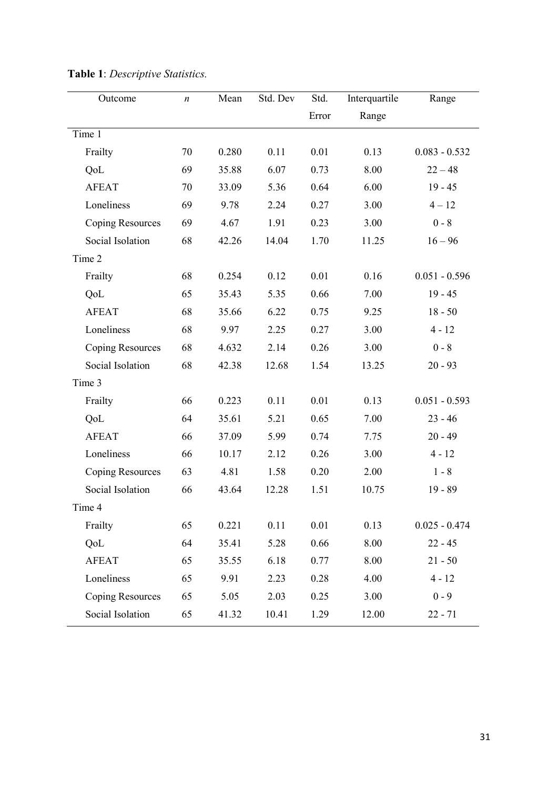| Outcome                 | $\boldsymbol{n}$ | Mean  | Std. Dev | Std.  | Interquartile | Range           |
|-------------------------|------------------|-------|----------|-------|---------------|-----------------|
|                         |                  |       |          | Error | Range         |                 |
| Time 1                  |                  |       |          |       |               |                 |
| Frailty                 | 70               | 0.280 | 0.11     | 0.01  | 0.13          | $0.083 - 0.532$ |
| QoL                     | 69               | 35.88 | 6.07     | 0.73  | 8.00          | $22 - 48$       |
| <b>AFEAT</b>            | 70               | 33.09 | 5.36     | 0.64  | 6.00          | $19 - 45$       |
| Loneliness              | 69               | 9.78  | 2.24     | 0.27  | 3.00          | $4 - 12$        |
| <b>Coping Resources</b> | 69               | 4.67  | 1.91     | 0.23  | 3.00          | $0 - 8$         |
| Social Isolation        | 68               | 42.26 | 14.04    | 1.70  | 11.25         | $16 - 96$       |
| Time 2                  |                  |       |          |       |               |                 |
| Frailty                 | 68               | 0.254 | 0.12     | 0.01  | 0.16          | $0.051 - 0.596$ |
| QoL                     | 65               | 35.43 | 5.35     | 0.66  | 7.00          | $19 - 45$       |
| <b>AFEAT</b>            | 68               | 35.66 | 6.22     | 0.75  | 9.25          | $18 - 50$       |
| Loneliness              | 68               | 9.97  | 2.25     | 0.27  | 3.00          | $4 - 12$        |
| <b>Coping Resources</b> | 68               | 4.632 | 2.14     | 0.26  | 3.00          | $0 - 8$         |
| Social Isolation        | 68               | 42.38 | 12.68    | 1.54  | 13.25         | $20 - 93$       |
| Time 3                  |                  |       |          |       |               |                 |
| Frailty                 | 66               | 0.223 | 0.11     | 0.01  | 0.13          | $0.051 - 0.593$ |
| QoL                     | 64               | 35.61 | 5.21     | 0.65  | 7.00          | $23 - 46$       |
| <b>AFEAT</b>            | 66               | 37.09 | 5.99     | 0.74  | 7.75          | $20 - 49$       |
| Loneliness              | 66               | 10.17 | 2.12     | 0.26  | 3.00          | $4 - 12$        |
| <b>Coping Resources</b> | 63               | 4.81  | 1.58     | 0.20  | 2.00          | $1 - 8$         |
| Social Isolation        | 66               | 43.64 | 12.28    | 1.51  | 10.75         | $19 - 89$       |
| Time 4                  |                  |       |          |       |               |                 |
| Frailty                 | 65               | 0.221 | 0.11     | 0.01  | 0.13          | $0.025 - 0.474$ |
| <b>QoL</b>              | 64               | 35.41 | 5.28     | 0.66  | 8.00          | $22 - 45$       |
| <b>AFEAT</b>            | 65               | 35.55 | 6.18     | 0.77  | 8.00          | $21 - 50$       |
| Loneliness              | 65               | 9.91  | 2.23     | 0.28  | 4.00          | $4 - 12$        |
| <b>Coping Resources</b> | 65               | 5.05  | 2.03     | 0.25  | 3.00          | $0 - 9$         |
| Social Isolation        | 65               | 41.32 | 10.41    | 1.29  | 12.00         | $22 - 71$       |

**Table 1**: *Descriptive Statistics.*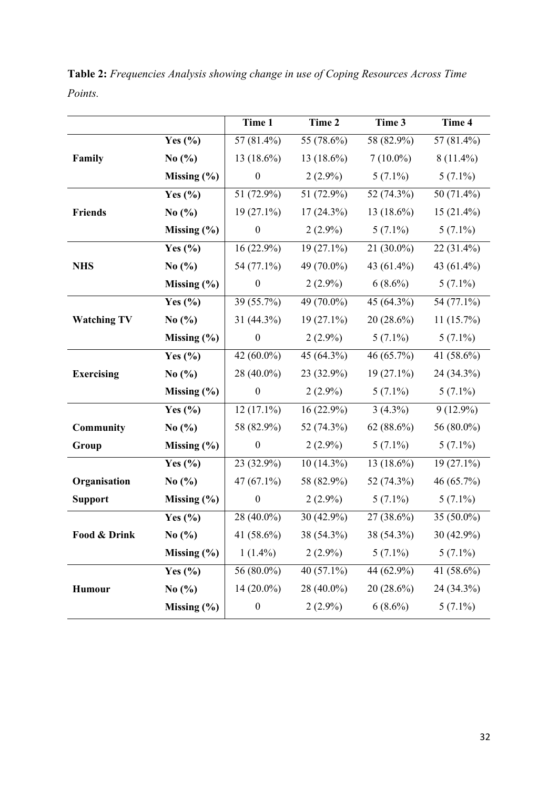|                    |                 | Time 1           | Time 2              | Time 3       | Time 4                     |
|--------------------|-----------------|------------------|---------------------|--------------|----------------------------|
|                    | Yes $(\% )$     | 57 (81.4%)       | 55 (78.6%)          | 58 (82.9%)   | $57(81.4\%)$               |
| Family             | No $(\%$        | 13 (18.6%)       | 13 (18.6%)          | $7(10.0\%)$  | $8(11.4\%)$                |
|                    | Missing $(\% )$ | $\boldsymbol{0}$ | $2(2.9\%)$          | $5(7.1\%)$   | $5(7.1\%)$                 |
|                    | Yes $(\% )$     | 51 (72.9%)       | 51 (72.9%)          | 52 (74.3%)   | 50 (71.4%)                 |
| <b>Friends</b>     | No $(\% )$      | $19(27.1\%)$     | $17(24.3\%)$        | 13 (18.6%)   | 15 (21.4%)                 |
|                    | Missing $(\% )$ | $\boldsymbol{0}$ | $2(2.9\%)$          | $5(7.1\%)$   | $5(7.1\%)$                 |
|                    | Yes $(\% )$     | 16 (22.9%)       | $19(27.1\%)$        | $21(30.0\%)$ | $22(31.4\%)$               |
| <b>NHS</b>         | No $(\%$        | 54 (77.1%)       | 49 (70.0%)          | 43 (61.4%)   | 43 (61.4%)                 |
|                    | Missing $(\% )$ | $\boldsymbol{0}$ | $2(2.9\%)$          | $6(8.6\%)$   | $5(7.1\%)$                 |
|                    | Yes $(\% )$     | 39 (55.7%)       | 49 (70.0%)          | 45 (64.3%)   | $\overline{54}$ $(77.1\%)$ |
| <b>Watching TV</b> | No $(\%$        | 31 (44.3%)       | $19(27.1\%)$        | $20(28.6\%)$ | 11(15.7%)                  |
|                    | Missing $(\% )$ | $\boldsymbol{0}$ | $2(2.9\%)$          | $5(7.1\%)$   | $5(7.1\%)$                 |
|                    | Yes $(\% )$     | $42(60.0\%)$     | 45 $(64.3\sqrt{0})$ | 46 (65.7%)   | $41(58.6\%)$               |
| <b>Exercising</b>  | No $(\%$        | 28 (40.0%)       | 23 (32.9%)          | $19(27.1\%)$ | 24 (34.3%)                 |
|                    | Missing $(\% )$ | $\boldsymbol{0}$ | $2(2.9\%)$          | $5(7.1\%)$   | $5(7.1\%)$                 |
|                    | Yes $(\% )$     | $12(17.1\%)$     | $16(22.9\%)$        | $3(4.3\%)$   | $9(12.9\%)$                |
| Community          | No $(\%$        | 58 (82.9%)       | 52 (74.3%)          | $62(88.6\%)$ | 56 (80.0%)                 |
| Group              | Missing (%)     | $\boldsymbol{0}$ | $2(2.9\%)$          | $5(7.1\%)$   | $5(7.1\%)$                 |
|                    | Yes $(\% )$     | 23 (32.9%)       | $10(14.3\%)$        | 13 (18.6%)   | 19 (27.1%)                 |
| Organisation       | No $(\% )$      | 47 (67.1%)       | 58 (82.9%)          | 52 (74.3%)   | 46 (65.7%)                 |
| <b>Support</b>     | Missing $(\% )$ | $\boldsymbol{0}$ | $2(2.9\%)$          | $5(7.1\%)$   | $5(7.1\%)$                 |
|                    | Yes $(\% )$     | $28(40.0\%)$     | $30(42.9\%)$        | 27 (38.6%)   | 35 (50.0%)                 |
| Food & Drink       | No $(\% )$      | 41 (58.6%)       | 38 (54.3%)          | 38 (54.3%)   | 30 (42.9%)                 |
|                    | Missing $(\% )$ | $1(1.4\%)$       | $2(2.9\%)$          | $5(7.1\%)$   | $5(7.1\%)$                 |
|                    | Yes $(\% )$     | 56 (80.0%)       | 40 (57.1%)          | 44 (62.9%)   | 41 (58.6%)                 |
| <b>Humour</b>      | No $(\%$        | 14 (20.0%)       | 28 (40.0%)          | 20 (28.6%)   | 24 (34.3%)                 |
|                    | Missing (%)     | $\boldsymbol{0}$ | $2(2.9\%)$          | $6(8.6\%)$   | $5(7.1\%)$                 |

**Table 2:** *Frequencies Analysis showing change in use of Coping Resources Across Time Points.*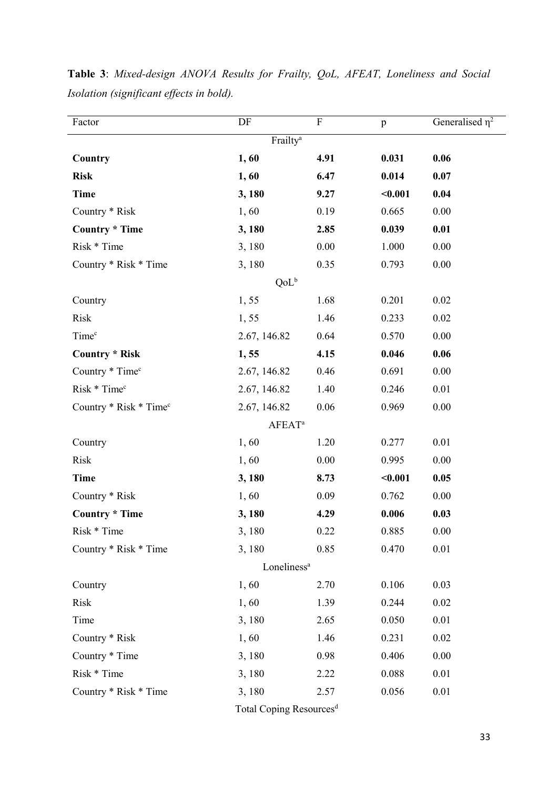| Factor                             | DF                   | $\rm F$  | p       | Generalised $\overline{\eta^2}$ |  |
|------------------------------------|----------------------|----------|---------|---------------------------------|--|
|                                    | Frailty <sup>a</sup> |          |         |                                 |  |
| Country                            | 1,60                 | 4.91     | 0.031   | 0.06                            |  |
| <b>Risk</b>                        | 1,60                 | 6.47     | 0.014   | 0.07                            |  |
| <b>Time</b>                        | 3,180                | 9.27     | $0.001$ | 0.04                            |  |
| Country * Risk                     | 1,60                 | 0.19     | 0.665   | 0.00                            |  |
| <b>Country * Time</b>              | 3,180                | 2.85     | 0.039   | 0.01                            |  |
| Risk * Time                        | 3,180                | $0.00\,$ | 1.000   | 0.00                            |  |
| Country * Risk * Time              | 3,180                | 0.35     | 0.793   | 0.00                            |  |
|                                    | QoL <sup>b</sup>     |          |         |                                 |  |
| Country                            | 1,55                 | 1.68     | 0.201   | 0.02                            |  |
| Risk                               | 1,55                 | 1.46     | 0.233   | 0.02                            |  |
| Time <sup>c</sup>                  | 2.67, 146.82         | 0.64     | 0.570   | 0.00                            |  |
| <b>Country * Risk</b>              | 1,55                 | 4.15     | 0.046   | 0.06                            |  |
| Country * Time <sup>c</sup>        | 2.67, 146.82         | 0.46     | 0.691   | 0.00                            |  |
| Risk * Time <sup>c</sup>           | 2.67, 146.82         | 1.40     | 0.246   | $0.01\,$                        |  |
| Country * Risk * Time <sup>c</sup> | 2.67, 146.82         | 0.06     | 0.969   | 0.00                            |  |
|                                    | $AFEAT^a$            |          |         |                                 |  |
| Country                            | 1,60                 | 1.20     | 0.277   | 0.01                            |  |
| Risk                               | 1,60                 | 0.00     | 0.995   | 0.00                            |  |
| <b>Time</b>                        | 3,180                | 8.73     | $0.001$ | 0.05                            |  |
| Country * Risk                     | 1,60                 | 0.09     | 0.762   | 0.00                            |  |
| <b>Country * Time</b>              | 3,180                | 4.29     | 0.006   | 0.03                            |  |
| Risk * Time                        | 3,180                | 0.22     | 0.885   | $0.00\,$                        |  |
| Country * Risk * Time              | 3,180                | 0.85     | 0.470   | 0.01                            |  |
| Loneliness <sup>a</sup>            |                      |          |         |                                 |  |
| Country                            | 1,60                 | 2.70     | 0.106   | 0.03                            |  |
| Risk                               | 1,60                 | 1.39     | 0.244   | 0.02                            |  |
| Time                               | 3,180                | 2.65     | 0.050   | 0.01                            |  |
| Country * Risk                     | 1,60                 | 1.46     | 0.231   | $0.02\,$                        |  |
| Country * Time                     | 3,180                | 0.98     | 0.406   | 0.00                            |  |
| Risk * Time                        | 3,180                | 2.22     | 0.088   | 0.01                            |  |
| Country * Risk * Time              | 3,180                | 2.57     | 0.056   | 0.01                            |  |
|                                    |                      |          |         |                                 |  |

**Table 3**: *Mixed-design ANOVA Results for Frailty, QoL, AFEAT, Loneliness and Social Isolation (significant effects in bold).*

Total Coping Resources<sup>d</sup>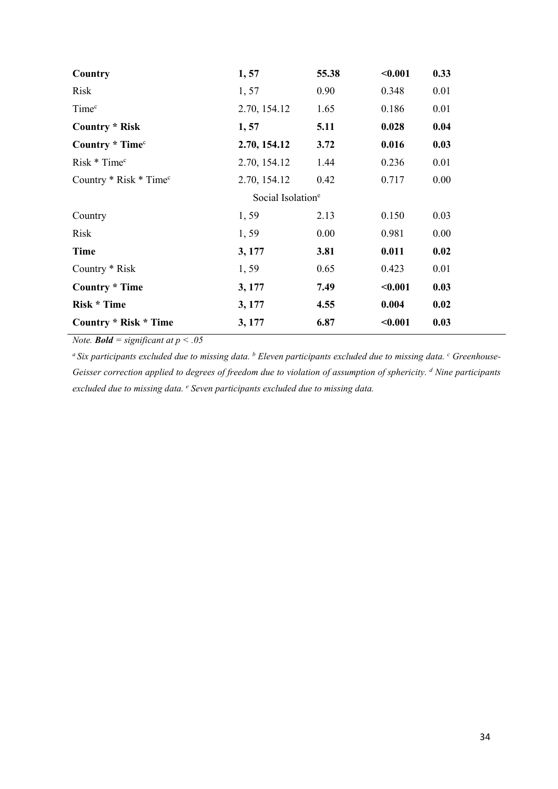| Country                            | 1,57         | 55.38 | < 0.001 | 0.33 |  |  |  |
|------------------------------------|--------------|-------|---------|------|--|--|--|
| Risk                               | 1, 57        | 0.90  | 0.348   | 0.01 |  |  |  |
| Time <sup>c</sup>                  | 2.70, 154.12 | 1.65  | 0.186   | 0.01 |  |  |  |
| <b>Country * Risk</b>              | 1, 57        | 5.11  | 0.028   | 0.04 |  |  |  |
| Country * Time <sup>c</sup>        | 2.70, 154.12 | 3.72  | 0.016   | 0.03 |  |  |  |
| Risk * Time <sup>c</sup>           | 2.70, 154.12 | 1.44  | 0.236   | 0.01 |  |  |  |
| Country * Risk * Time <sup>c</sup> | 2.70, 154.12 | 0.42  | 0.717   | 0.00 |  |  |  |
| Social Isolation <sup>e</sup>      |              |       |         |      |  |  |  |
| Country                            | 1,59         | 2.13  | 0.150   | 0.03 |  |  |  |
| Risk                               | 1,59         | 0.00  | 0.981   | 0.00 |  |  |  |
| Time                               | 3, 177       | 3.81  | 0.011   | 0.02 |  |  |  |
| Country * Risk                     | 1,59         | 0.65  | 0.423   | 0.01 |  |  |  |
| <b>Country * Time</b>              | 3, 177       | 7.49  | < 0.001 | 0.03 |  |  |  |
| <b>Risk * Time</b>                 | 3, 177       | 4.55  | 0.004   | 0.02 |  |  |  |
| <b>Country * Risk * Time</b>       | 3, 177       | 6.87  | < 0.001 | 0.03 |  |  |  |

*Note. Bold* = significant at  $p < .05$ 

*a Six participants excluded due to missing data. b Eleven participants excluded due to missing data. c Greenhouse-Geisser correction applied to degrees of freedom due to violation of assumption of sphericity. d Nine participants excluded due to missing data. e Seven participants excluded due to missing data.*